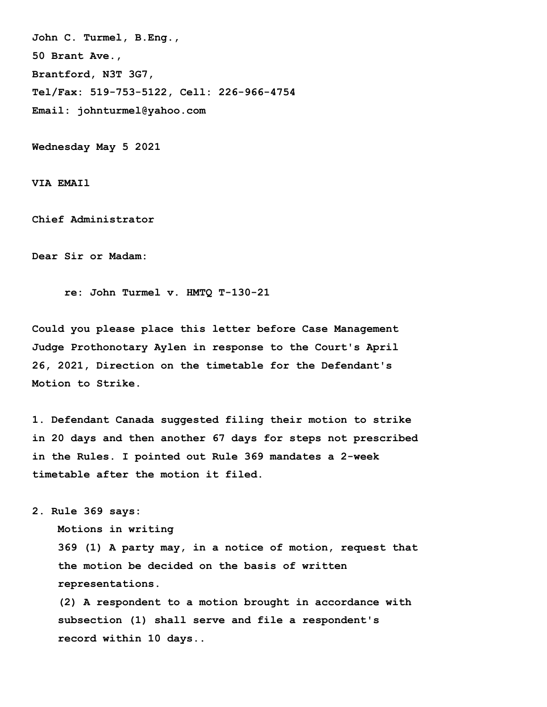**John C. Turmel, B.Eng., 50 Brant Ave., Brantford, N3T 3G7, Tel/Fax: 519-753-5122, Cell: 226-966-4754 Email: johnturmel@yahoo.com**

**Wednesday May 5 2021** 

**VIA EMAIl** 

**Chief Administrator**

**Dear Sir or Madam:** 

 **re: John Turmel v. HMTQ T-130-21** 

**Could you please place this letter before Case Management Judge Prothonotary Aylen in response to the Court's April 26, 2021, Direction on the timetable for the Defendant's Motion to Strike.** 

**1. Defendant Canada suggested filing their motion to strike in 20 days and then another 67 days for steps not prescribed in the Rules. I pointed out Rule 369 mandates a 2-week timetable after the motion it filed.** 

**2. Rule 369 says:** 

 **Motions in writing**

 **369 (1) A party may, in a notice of motion, request that the motion be decided on the basis of written representations.**

 **(2) A respondent to a motion brought in accordance with subsection (1) shall serve and file a respondent's record within 10 days..**